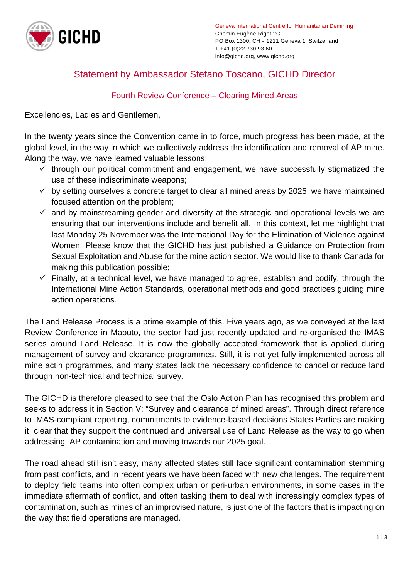

## Statement by Ambassador Stefano Toscano, GICHD Director

## Fourth Review Conference – Clearing Mined Areas

Excellencies, Ladies and Gentlemen,

In the twenty years since the Convention came in to force, much progress has been made, at the global level, in the way in which we collectively address the identification and removal of AP mine. Along the way, we have learned valuable lessons:

- $\checkmark$  through our political commitment and engagement, we have successfully stigmatized the use of these indiscriminate weapons;
- $\checkmark$  by setting ourselves a concrete target to clear all mined areas by 2025, we have maintained focused attention on the problem;
- $\checkmark$  and by mainstreaming gender and diversity at the strategic and operational levels we are ensuring that our interventions include and benefit all. In this context, let me highlight that last Monday 25 November was the International Day for the Elimination of Violence against Women. Please know that the GICHD has just published a Guidance on Protection from Sexual Exploitation and Abuse for the mine action sector. We would like to thank Canada for making this publication possible;
- $\checkmark$  Finally, at a technical level, we have managed to agree, establish and codify, through the International Mine Action Standards, operational methods and good practices guiding mine action operations.

The Land Release Process is a prime example of this. Five years ago, as we conveyed at the last Review Conference in Maputo, the sector had just recently updated and re-organised the IMAS series around Land Release. It is now the globally accepted framework that is applied during management of survey and clearance programmes. Still, it is not yet fully implemented across all mine actin programmes, and many states lack the necessary confidence to cancel or reduce land through non-technical and technical survey.

The GICHD is therefore pleased to see that the Oslo Action Plan has recognised this problem and seeks to address it in Section V: "Survey and clearance of mined areas". Through direct reference to IMAS-compliant reporting, commitments to evidence-based decisions States Parties are making it clear that they support the continued and universal use of Land Release as the way to go when addressing AP contamination and moving towards our 2025 goal.

The road ahead still isn't easy, many affected states still face significant contamination stemming from past conflicts, and in recent years we have been faced with new challenges. The requirement to deploy field teams into often complex urban or peri-urban environments, in some cases in the immediate aftermath of conflict, and often tasking them to deal with increasingly complex types of contamination, such as mines of an improvised nature, is just one of the factors that is impacting on the way that field operations are managed.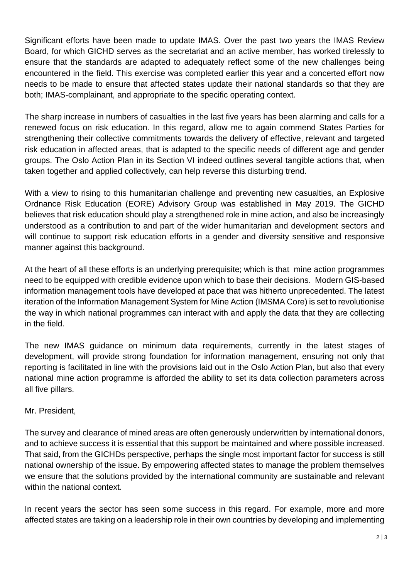Significant efforts have been made to update IMAS. Over the past two years the IMAS Review Board, for which GICHD serves as the secretariat and an active member, has worked tirelessly to ensure that the standards are adapted to adequately reflect some of the new challenges being encountered in the field. This exercise was completed earlier this year and a concerted effort now needs to be made to ensure that affected states update their national standards so that they are both; IMAS-complainant, and appropriate to the specific operating context.

The sharp increase in numbers of casualties in the last five years has been alarming and calls for a renewed focus on risk education. In this regard, allow me to again commend States Parties for strengthening their collective commitments towards the delivery of effective, relevant and targeted risk education in affected areas, that is adapted to the specific needs of different age and gender groups. The Oslo Action Plan in its Section VI indeed outlines several tangible actions that, when taken together and applied collectively, can help reverse this disturbing trend.

With a view to rising to this humanitarian challenge and preventing new casualties, an Explosive Ordnance Risk Education (EORE) Advisory Group was established in May 2019. The GICHD believes that risk education should play a strengthened role in mine action, and also be increasingly understood as a contribution to and part of the wider humanitarian and development sectors and will continue to support risk education efforts in a gender and diversity sensitive and responsive manner against this background.

At the heart of all these efforts is an underlying prerequisite; which is that mine action programmes need to be equipped with credible evidence upon which to base their decisions. Modern GIS-based information management tools have developed at pace that was hitherto unprecedented. The latest iteration of the Information Management System for Mine Action (IMSMA Core) is set to revolutionise the way in which national programmes can interact with and apply the data that they are collecting in the field.

The new IMAS guidance on minimum data requirements, currently in the latest stages of development, will provide strong foundation for information management, ensuring not only that reporting is facilitated in line with the provisions laid out in the Oslo Action Plan, but also that every national mine action programme is afforded the ability to set its data collection parameters across all five pillars.

## Mr. President,

The survey and clearance of mined areas are often generously underwritten by international donors, and to achieve success it is essential that this support be maintained and where possible increased. That said, from the GICHDs perspective, perhaps the single most important factor for success is still national ownership of the issue. By empowering affected states to manage the problem themselves we ensure that the solutions provided by the international community are sustainable and relevant within the national context.

In recent years the sector has seen some success in this regard. For example, more and more affected states are taking on a leadership role in their own countries by developing and implementing